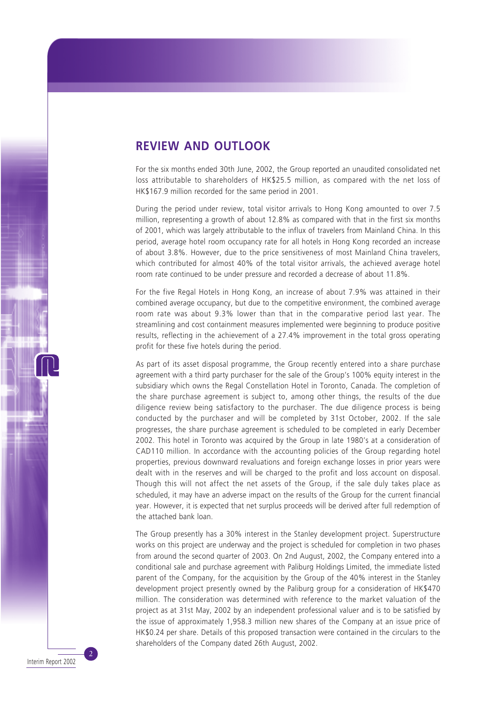### **REVIEW AND OUTLOOK**

For the six months ended 30th June, 2002, the Group reported an unaudited consolidated net loss attributable to shareholders of HK\$25.5 million, as compared with the net loss of HK\$167.9 million recorded for the same period in 2001.

During the period under review, total visitor arrivals to Hong Kong amounted to over 7.5 million, representing a growth of about 12.8% as compared with that in the first six months of 2001, which was largely attributable to the influx of travelers from Mainland China. In this period, average hotel room occupancy rate for all hotels in Hong Kong recorded an increase of about 3.8%. However, due to the price sensitiveness of most Mainland China travelers, which contributed for almost 40% of the total visitor arrivals, the achieved average hotel room rate continued to be under pressure and recorded a decrease of about 11.8%.

For the five Regal Hotels in Hong Kong, an increase of about 7.9% was attained in their combined average occupancy, but due to the competitive environment, the combined average room rate was about 9.3% lower than that in the comparative period last year. The streamlining and cost containment measures implemented were beginning to produce positive results, reflecting in the achievement of a 27.4% improvement in the total gross operating profit for these five hotels during the period.

As part of its asset disposal programme, the Group recently entered into a share purchase agreement with a third party purchaser for the sale of the Group's 100% equity interest in the subsidiary which owns the Regal Constellation Hotel in Toronto, Canada. The completion of the share purchase agreement is subject to, among other things, the results of the due diligence review being satisfactory to the purchaser. The due diligence process is being conducted by the purchaser and will be completed by 31st October, 2002. If the sale progresses, the share purchase agreement is scheduled to be completed in early December 2002. This hotel in Toronto was acquired by the Group in late 1980's at a consideration of CAD110 million. In accordance with the accounting policies of the Group regarding hotel properties, previous downward revaluations and foreign exchange losses in prior years were dealt with in the reserves and will be charged to the profit and loss account on disposal. Though this will not affect the net assets of the Group, if the sale duly takes place as scheduled, it may have an adverse impact on the results of the Group for the current financial year. However, it is expected that net surplus proceeds will be derived after full redemption of the attached bank loan.

The Group presently has a 30% interest in the Stanley development project. Superstructure works on this project are underway and the project is scheduled for completion in two phases from around the second quarter of 2003. On 2nd August, 2002, the Company entered into a conditional sale and purchase agreement with Paliburg Holdings Limited, the immediate listed parent of the Company, for the acquisition by the Group of the 40% interest in the Stanley development project presently owned by the Paliburg group for a consideration of HK\$470 million. The consideration was determined with reference to the market valuation of the project as at 31st May, 2002 by an independent professional valuer and is to be satisfied by the issue of approximately 1,958.3 million new shares of the Company at an issue price of HK\$0.24 per share. Details of this proposed transaction were contained in the circulars to the shareholders of the Company dated 26th August, 2002.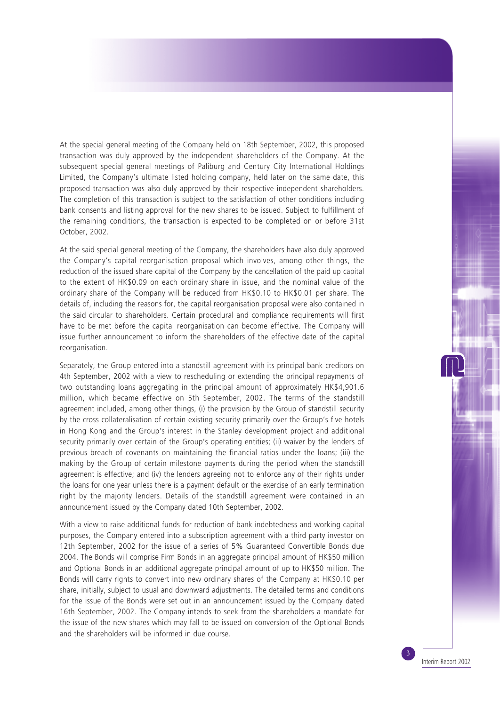At the special general meeting of the Company held on 18th September, 2002, this proposed transaction was duly approved by the independent shareholders of the Company. At the subsequent special general meetings of Paliburg and Century City International Holdings Limited, the Company's ultimate listed holding company, held later on the same date, this proposed transaction was also duly approved by their respective independent shareholders. The completion of this transaction is subject to the satisfaction of other conditions including bank consents and listing approval for the new shares to be issued. Subject to fulfillment of the remaining conditions, the transaction is expected to be completed on or before 31st October, 2002.

At the said special general meeting of the Company, the shareholders have also duly approved the Company's capital reorganisation proposal which involves, among other things, the reduction of the issued share capital of the Company by the cancellation of the paid up capital to the extent of HK\$0.09 on each ordinary share in issue, and the nominal value of the ordinary share of the Company will be reduced from HK\$0.10 to HK\$0.01 per share. The details of, including the reasons for, the capital reorganisation proposal were also contained in the said circular to shareholders. Certain procedural and compliance requirements will first have to be met before the capital reorganisation can become effective. The Company will issue further announcement to inform the shareholders of the effective date of the capital reorganisation.

Separately, the Group entered into a standstill agreement with its principal bank creditors on 4th September, 2002 with a view to rescheduling or extending the principal repayments of two outstanding loans aggregating in the principal amount of approximately HK\$4,901.6 million, which became effective on 5th September, 2002. The terms of the standstill agreement included, among other things, (i) the provision by the Group of standstill security by the cross collateralisation of certain existing security primarily over the Group's five hotels in Hong Kong and the Group's interest in the Stanley development project and additional security primarily over certain of the Group's operating entities; (ii) waiver by the lenders of previous breach of covenants on maintaining the financial ratios under the loans; (iii) the making by the Group of certain milestone payments during the period when the standstill agreement is effective; and (iv) the lenders agreeing not to enforce any of their rights under the loans for one year unless there is a payment default or the exercise of an early termination right by the majority lenders. Details of the standstill agreement were contained in an announcement issued by the Company dated 10th September, 2002.

With a view to raise additional funds for reduction of bank indebtedness and working capital purposes, the Company entered into a subscription agreement with a third party investor on 12th September, 2002 for the issue of a series of 5% Guaranteed Convertible Bonds due 2004. The Bonds will comprise Firm Bonds in an aggregate principal amount of HK\$50 million and Optional Bonds in an additional aggregate principal amount of up to HK\$50 million. The Bonds will carry rights to convert into new ordinary shares of the Company at HK\$0.10 per share, initially, subject to usual and downward adjustments. The detailed terms and conditions for the issue of the Bonds were set out in an announcement issued by the Company dated 16th September, 2002. The Company intends to seek from the shareholders a mandate for the issue of the new shares which may fall to be issued on conversion of the Optional Bonds and the shareholders will be informed in due course.

Interim Report 2002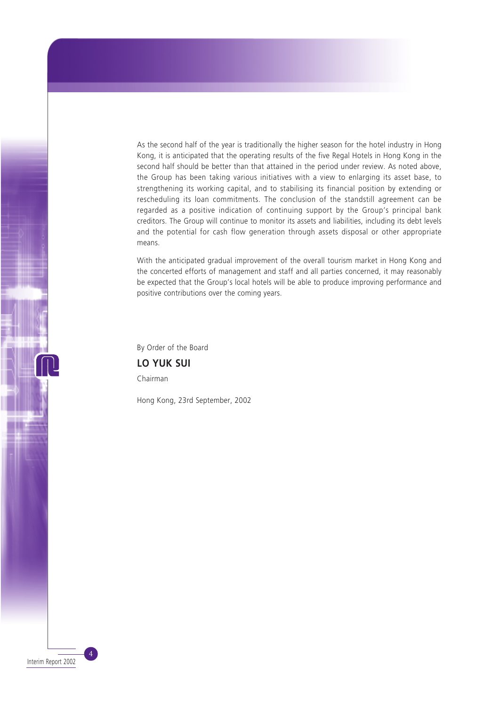As the second half of the year is traditionally the higher season for the hotel industry in Hong Kong, it is anticipated that the operating results of the five Regal Hotels in Hong Kong in the second half should be better than that attained in the period under review. As noted above, the Group has been taking various initiatives with a view to enlarging its asset base, to strengthening its working capital, and to stabilising its financial position by extending or rescheduling its loan commitments. The conclusion of the standstill agreement can be regarded as a positive indication of continuing support by the Group's principal bank creditors. The Group will continue to monitor its assets and liabilities, including its debt levels and the potential for cash flow generation through assets disposal or other appropriate means.

With the anticipated gradual improvement of the overall tourism market in Hong Kong and the concerted efforts of management and staff and all parties concerned, it may reasonably be expected that the Group's local hotels will be able to produce improving performance and positive contributions over the coming years.

By Order of the Board

**LO YUK SUI** Chairman

Hong Kong, 23rd September, 2002

Interim Report 2002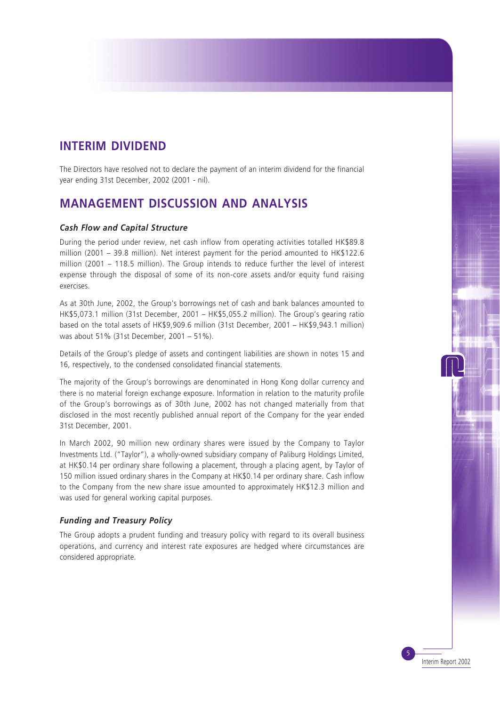## **INTERIM DIVIDEND**

The Directors have resolved not to declare the payment of an interim dividend for the financial year ending 31st December, 2002 (2001 - nil).

# **MANAGEMENT DISCUSSION AND ANALYSIS**

#### *Cash Flow and Capital Structure*

During the period under review, net cash inflow from operating activities totalled HK\$89.8 million (2001 – 39.8 million). Net interest payment for the period amounted to HK\$122.6 million (2001 – 118.5 million). The Group intends to reduce further the level of interest expense through the disposal of some of its non-core assets and/or equity fund raising exercises.

As at 30th June, 2002, the Group's borrowings net of cash and bank balances amounted to HK\$5,073.1 million (31st December, 2001 – HK\$5,055.2 million). The Group's gearing ratio based on the total assets of HK\$9,909.6 million (31st December, 2001 – HK\$9,943.1 million) was about 51% (31st December, 2001 – 51%).

Details of the Group's pledge of assets and contingent liabilities are shown in notes 15 and 16, respectively, to the condensed consolidated financial statements.

The majority of the Group's borrowings are denominated in Hong Kong dollar currency and there is no material foreign exchange exposure. Information in relation to the maturity profile of the Group's borrowings as of 30th June, 2002 has not changed materially from that disclosed in the most recently published annual report of the Company for the year ended 31st December, 2001.

In March 2002, 90 million new ordinary shares were issued by the Company to Taylor Investments Ltd. ("Taylor"), a wholly-owned subsidiary company of Paliburg Holdings Limited, at HK\$0.14 per ordinary share following a placement, through a placing agent, by Taylor of 150 million issued ordinary shares in the Company at HK\$0.14 per ordinary share. Cash inflow to the Company from the new share issue amounted to approximately HK\$12.3 million and was used for general working capital purposes.

#### *Funding and Treasury Policy*

The Group adopts a prudent funding and treasury policy with regard to its overall business operations, and currency and interest rate exposures are hedged where circumstances are considered appropriate.

Interim Report 2002